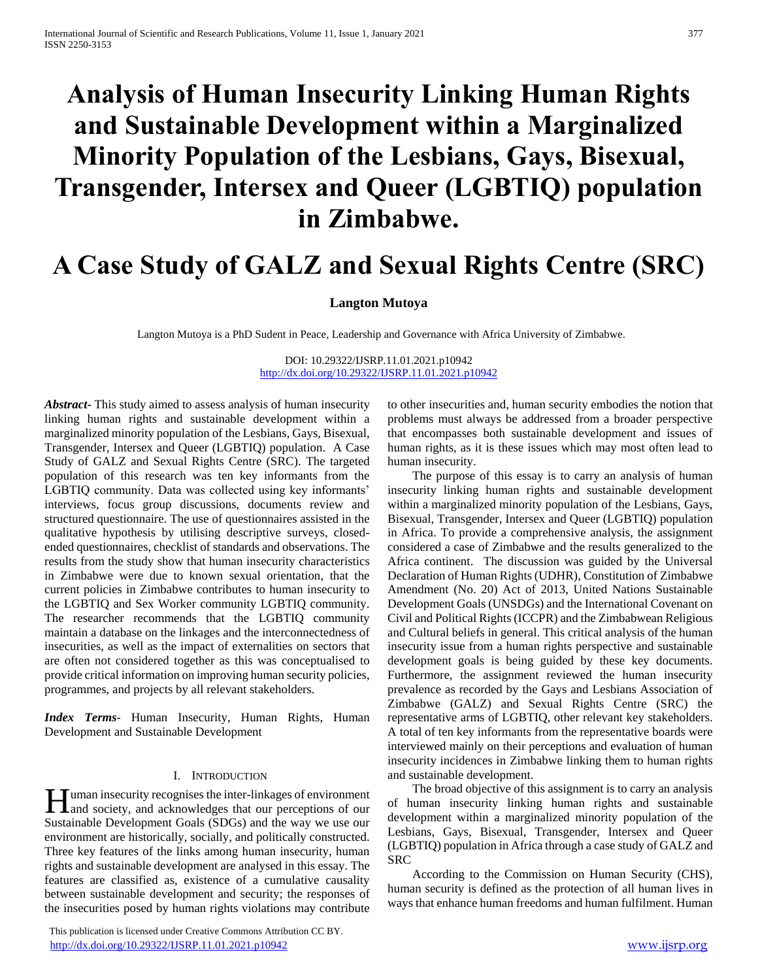# **Analysis of Human Insecurity Linking Human Rights and Sustainable Development within a Marginalized Minority Population of the Lesbians, Gays, Bisexual, Transgender, Intersex and Queer (LGBTIQ) population in Zimbabwe.**

## **A Case Study of GALZ and Sexual Rights Centre (SRC)**

#### **Langton Mutoya**

Langton Mutoya is a PhD Sudent in Peace, Leadership and Governance with Africa University of Zimbabwe.

DOI: 10.29322/IJSRP.11.01.2021.p10942 <http://dx.doi.org/10.29322/IJSRP.11.01.2021.p10942>

*Abstract***-** This study aimed to assess analysis of human insecurity linking human rights and sustainable development within a marginalized minority population of the Lesbians, Gays, Bisexual, Transgender, Intersex and Queer (LGBTIQ) population. A Case Study of GALZ and Sexual Rights Centre (SRC). The targeted population of this research was ten key informants from the LGBTIQ community. Data was collected using key informants' interviews, focus group discussions, documents review and structured questionnaire. The use of questionnaires assisted in the qualitative hypothesis by utilising descriptive surveys, closedended questionnaires, checklist of standards and observations. The results from the study show that human insecurity characteristics in Zimbabwe were due to known sexual orientation, that the current policies in Zimbabwe contributes to human insecurity to the LGBTIQ and Sex Worker community LGBTIQ community. The researcher recommends that the LGBTIQ community maintain a database on the linkages and the interconnectedness of insecurities, as well as the impact of externalities on sectors that are often not considered together as this was conceptualised to provide critical information on improving human security policies, programmes, and projects by all relevant stakeholders.

*Index Terms*- Human Insecurity, Human Rights, Human Development and Sustainable Development

#### I. INTRODUCTION

uman insecurity recognises the inter-linkages of environment **H** uman insecurity recognises the inter-linkages of environment<br>and society, and acknowledges that our perceptions of our Sustainable Development Goals (SDGs) and the way we use our environment are historically, socially, and politically constructed. Three key features of the links among human insecurity, human rights and sustainable development are analysed in this essay. The features are classified as, existence of a cumulative causality between sustainable development and security; the responses of the insecurities posed by human rights violations may contribute

 This publication is licensed under Creative Commons Attribution CC BY. <http://dx.doi.org/10.29322/IJSRP.11.01.2021.p10942> [www.ijsrp.org](http://ijsrp.org/)

to other insecurities and, human security embodies the notion that problems must always be addressed from a broader perspective that encompasses both sustainable development and issues of human rights, as it is these issues which may most often lead to human insecurity.

 The purpose of this essay is to carry an analysis of human insecurity linking human rights and sustainable development within a marginalized minority population of the Lesbians, Gays, Bisexual, Transgender, Intersex and Queer (LGBTIQ) population in Africa. To provide a comprehensive analysis, the assignment considered a case of Zimbabwe and the results generalized to the Africa continent. The discussion was guided by the Universal Declaration of Human Rights (UDHR), Constitution of Zimbabwe Amendment (No. 20) Act of 2013, United Nations Sustainable Development Goals (UNSDGs) and the International Covenant on Civil and Political Rights (ICCPR) and the Zimbabwean Religious and Cultural beliefs in general. This critical analysis of the human insecurity issue from a human rights perspective and sustainable development goals is being guided by these key documents. Furthermore, the assignment reviewed the human insecurity prevalence as recorded by the Gays and Lesbians Association of Zimbabwe (GALZ) and Sexual Rights Centre (SRC) the representative arms of LGBTIQ, other relevant key stakeholders. A total of ten key informants from the representative boards were interviewed mainly on their perceptions and evaluation of human insecurity incidences in Zimbabwe linking them to human rights and sustainable development.

 The broad objective of this assignment is to carry an analysis of human insecurity linking human rights and sustainable development within a marginalized minority population of the Lesbians, Gays, Bisexual, Transgender, Intersex and Queer (LGBTIQ) population in Africa through a case study of GALZ and SRC

 According to the Commission on Human Security (CHS), human security is defined as the protection of all human lives in ways that enhance human freedoms and human fulfilment. Human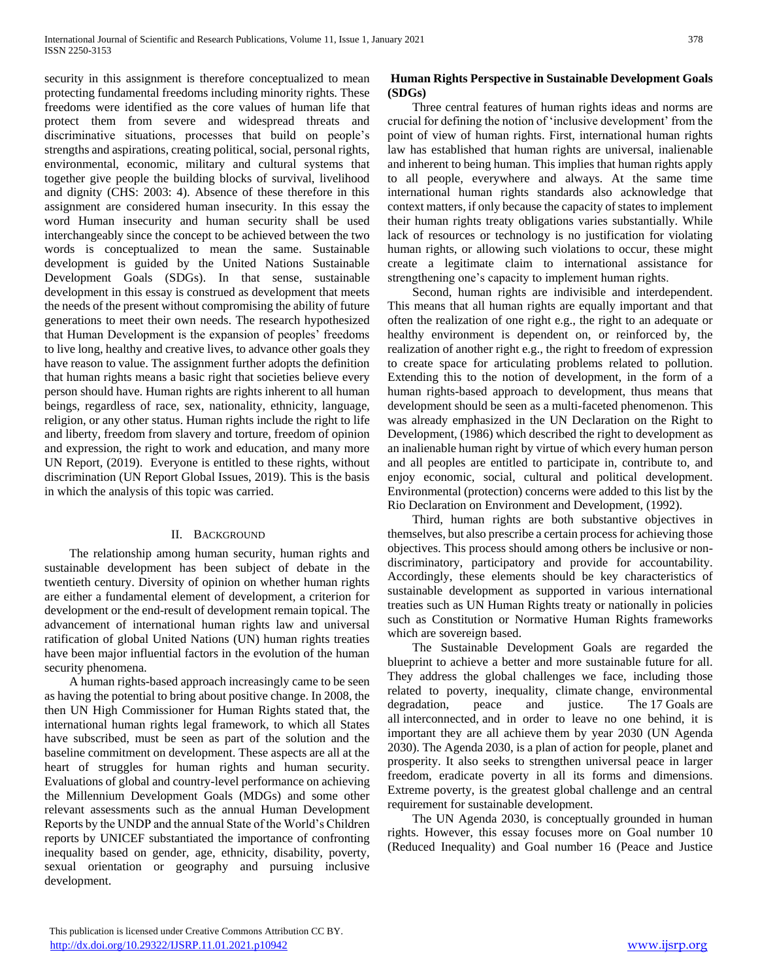security in this assignment is therefore conceptualized to mean protecting fundamental freedoms including minority rights. These freedoms were identified as the core values of human life that protect them from severe and widespread threats and discriminative situations, processes that build on people's strengths and aspirations, creating political, social, personal rights, environmental, economic, military and cultural systems that together give people the building blocks of survival, livelihood and dignity (CHS: 2003: 4). Absence of these therefore in this assignment are considered human insecurity. In this essay the word Human insecurity and human security shall be used interchangeably since the concept to be achieved between the two words is conceptualized to mean the same. Sustainable development is guided by the United Nations Sustainable Development Goals (SDGs). In that sense, sustainable development in this essay is construed as development that meets the needs of the present without compromising the ability of future generations to meet their own needs. The research hypothesized that Human Development is the expansion of peoples' freedoms to live long, healthy and creative lives, to advance other goals they have reason to value. The assignment further adopts the definition that human rights means a basic right that societies believe every person should have. Human rights are rights inherent to all human beings, regardless of race, sex, nationality, ethnicity, language, religion, or any other status. Human rights include the right to life and liberty, freedom from slavery and torture, freedom of opinion and expression, the right to work and education, and many more UN Report, (2019). Everyone is entitled to these rights, without discrimination (UN Report Global Issues, 2019). This is the basis in which the analysis of this topic was carried.

#### II. BACKGROUND

 The relationship among human security, human rights and sustainable development has been subject of debate in the twentieth century. Diversity of opinion on whether human rights are either a fundamental element of development, a criterion for development or the end-result of development remain topical. The advancement of international human rights law and universal ratification of global United Nations (UN) human rights treaties have been major influential factors in the evolution of the human security phenomena.

 A human rights-based approach increasingly came to be seen as having the potential to bring about positive change. In 2008, the then UN High Commissioner for Human Rights stated that, the international human rights legal framework, to which all States have subscribed, must be seen as part of the solution and the baseline commitment on development. These aspects are all at the heart of struggles for human rights and human security. Evaluations of global and country-level performance on achieving the Millennium Development Goals (MDGs) and some other relevant assessments such as the annual Human Development Reports by the UNDP and the annual State of the World's Children reports by UNICEF substantiated the importance of confronting inequality based on gender, age, ethnicity, disability, poverty, sexual orientation or geography and pursuing inclusive development.

## **Human Rights Perspective in Sustainable Development Goals (SDGs)**

 Three central features of human rights ideas and norms are crucial for defining the notion of 'inclusive development' from the point of view of human rights. First, international human rights law has established that human rights are universal, inalienable and inherent to being human. This implies that human rights apply to all people, everywhere and always. At the same time international human rights standards also acknowledge that context matters, if only because the capacity of states to implement their human rights treaty obligations varies substantially. While lack of resources or technology is no justification for violating human rights, or allowing such violations to occur, these might create a legitimate claim to international assistance for strengthening one's capacity to implement human rights.

 Second, human rights are indivisible and interdependent. This means that all human rights are equally important and that often the realization of one right e.g., the right to an adequate or healthy environment is dependent on, or reinforced by, the realization of another right e.g., the right to freedom of expression to create space for articulating problems related to pollution. Extending this to the notion of development, in the form of a human rights-based approach to development, thus means that development should be seen as a multi-faceted phenomenon. This was already emphasized in the UN Declaration on the Right to Development, (1986) which described the right to development as an inalienable human right by virtue of which every human person and all peoples are entitled to participate in, contribute to, and enjoy economic, social, cultural and political development. Environmental (protection) concerns were added to this list by the Rio Declaration on Environment and Development, (1992).

 Third, human rights are both substantive objectives in themselves, but also prescribe a certain process for achieving those objectives. This process should among others be inclusive or nondiscriminatory, participatory and provide for accountability. Accordingly, these elements should be key characteristics of sustainable development as supported in various international treaties such as UN Human Rights treaty or nationally in policies such as Constitution or Normative Human Rights frameworks which are sovereign based.

 The Sustainable Development Goals are regarded the blueprint to achieve a better and more sustainable future for all. They address the global challenges we face, including those related to poverty, inequality, climate change, environmental degradation, peace and justice. The 17 Goals are all interconnected, and in order to leave no one behind, it is important they are all achieve them by year 2030 (UN Agenda 2030). The Agenda 2030, is a plan of action for people, planet and prosperity. It also seeks to strengthen universal peace in larger freedom, eradicate poverty in all its forms and dimensions. Extreme poverty, is the greatest global challenge and an central requirement for sustainable development.

 The UN Agenda 2030, is conceptually grounded in human rights. However, this essay focuses more on Goal number 10 (Reduced Inequality) and Goal number 16 (Peace and Justice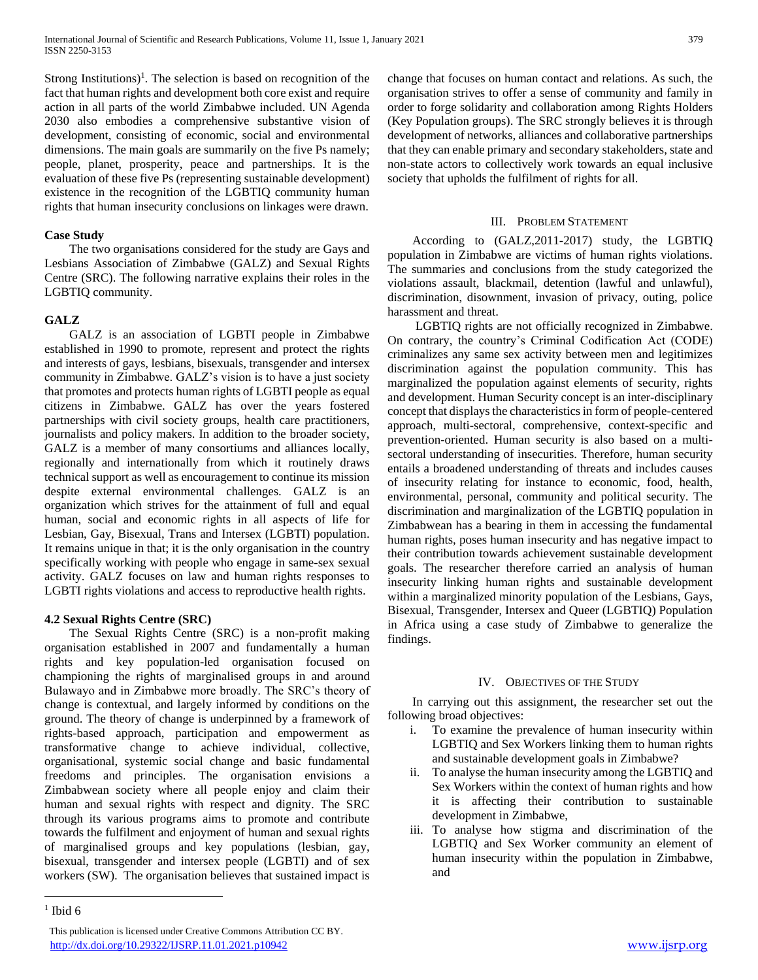Strong Institutions)<sup>1</sup>. The selection is based on recognition of the fact that human rights and development both core exist and require action in all parts of the world Zimbabwe included. UN Agenda 2030 also embodies a comprehensive substantive vision of development, consisting of economic, social and environmental dimensions. The main goals are summarily on the five Ps namely; people, planet, prosperity, peace and partnerships. It is the evaluation of these five Ps (representing sustainable development) existence in the recognition of the LGBTIQ community human rights that human insecurity conclusions on linkages were drawn.

## **Case Study**

 The two organisations considered for the study are Gays and Lesbians Association of Zimbabwe (GALZ) and Sexual Rights Centre (SRC). The following narrative explains their roles in the LGBTIQ community.

## **GALZ**

 GALZ is an association of LGBTI people in Zimbabwe established in 1990 to promote, represent and protect the rights and interests of gays, lesbians, bisexuals, transgender and intersex community in Zimbabwe. GALZ's vision is to have a just society that promotes and protects human rights of LGBTI people as equal citizens in Zimbabwe. GALZ has over the years fostered partnerships with civil society groups, health care practitioners, journalists and policy makers. In addition to the broader society, GALZ is a member of many consortiums and alliances locally, regionally and internationally from which it routinely draws technical support as well as encouragement to continue its mission despite external environmental challenges. GALZ is an organization which strives for the attainment of full and equal human, social and economic rights in all aspects of life for Lesbian, Gay, Bisexual, Trans and Intersex (LGBTI) population. It remains unique in that; it is the only organisation in the country specifically working with people who engage in same-sex sexual activity. GALZ focuses on law and human rights responses to LGBTI rights violations and access to reproductive health rights.

#### **4.2 Sexual Rights Centre (SRC)**

 The Sexual Rights Centre (SRC) is a non-profit making organisation established in 2007 and fundamentally a human rights and key population-led organisation focused on championing the rights of marginalised groups in and around Bulawayo and in Zimbabwe more broadly. The SRC's theory of change is contextual, and largely informed by conditions on the ground. The theory of change is underpinned by a framework of rights-based approach, participation and empowerment as transformative change to achieve individual, collective, organisational, systemic social change and basic fundamental freedoms and principles. The organisation envisions a Zimbabwean society where all people enjoy and claim their human and sexual rights with respect and dignity. The SRC through its various programs aims to promote and contribute towards the fulfilment and enjoyment of human and sexual rights of marginalised groups and key populations (lesbian, gay, bisexual, transgender and intersex people (LGBTI) and of sex workers (SW). The organisation believes that sustained impact is change that focuses on human contact and relations. As such, the organisation strives to offer a sense of community and family in order to forge solidarity and collaboration among Rights Holders (Key Population groups). The SRC strongly believes it is through development of networks, alliances and collaborative partnerships that they can enable primary and secondary stakeholders, state and non-state actors to collectively work towards an equal inclusive society that upholds the fulfilment of rights for all.

#### III. PROBLEM STATEMENT

 According to (GALZ,2011-2017) study, the LGBTIQ population in Zimbabwe are victims of human rights violations. The summaries and conclusions from the study categorized the violations assault, blackmail, detention (lawful and unlawful), discrimination, disownment, invasion of privacy, outing, police harassment and threat.

 LGBTIQ rights are not officially recognized in Zimbabwe. On contrary, the country's Criminal Codification Act (CODE) criminalizes any same sex activity between men and legitimizes discrimination against the population community. This has marginalized the population against elements of security, rights and development. Human Security concept is an inter-disciplinary concept that displays the characteristics in form of people-centered approach, multi-sectoral, comprehensive, context-specific and prevention-oriented. Human security is also based on a multisectoral understanding of insecurities. Therefore, human security entails a broadened understanding of threats and includes causes of insecurity relating for instance to economic, food, health, environmental, personal, community and political security. The discrimination and marginalization of the LGBTIQ population in Zimbabwean has a bearing in them in accessing the fundamental human rights, poses human insecurity and has negative impact to their contribution towards achievement sustainable development goals. The researcher therefore carried an analysis of human insecurity linking human rights and sustainable development within a marginalized minority population of the Lesbians, Gays, Bisexual, Transgender, Intersex and Queer (LGBTIQ) Population in Africa using a case study of Zimbabwe to generalize the findings.

#### IV. OBJECTIVES OF THE STUDY

 In carrying out this assignment, the researcher set out the following broad objectives:

- i. To examine the prevalence of human insecurity within LGBTIQ and Sex Workers linking them to human rights and sustainable development goals in Zimbabwe?
- ii. To analyse the human insecurity among the LGBTIQ and Sex Workers within the context of human rights and how it is affecting their contribution to sustainable development in Zimbabwe,
- iii. To analyse how stigma and discrimination of the LGBTIQ and Sex Worker community an element of human insecurity within the population in Zimbabwe, and

 $\overline{a}$ 

This publication is licensed under Creative Commons Attribution CC BY. <http://dx.doi.org/10.29322/IJSRP.11.01.2021.p10942> [www.ijsrp.org](http://ijsrp.org/)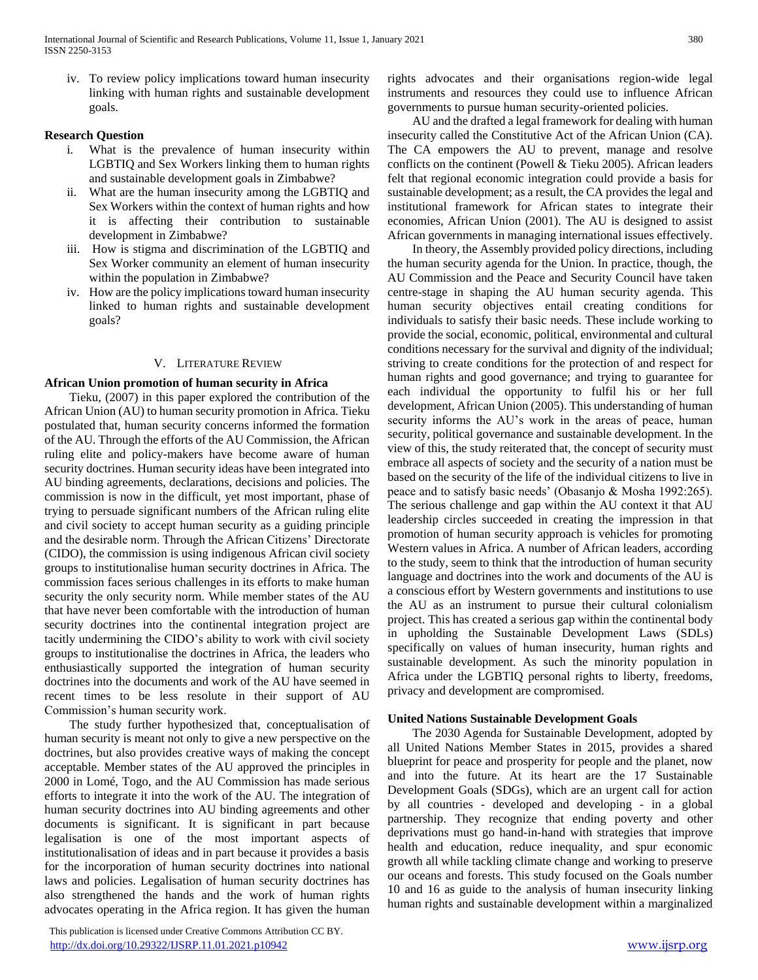iv. To review policy implications toward human insecurity linking with human rights and sustainable development goals.

#### **Research Question**

- i. What is the prevalence of human insecurity within LGBTIQ and Sex Workers linking them to human rights and sustainable development goals in Zimbabwe?
- ii. What are the human insecurity among the LGBTIQ and Sex Workers within the context of human rights and how it is affecting their contribution to sustainable development in Zimbabwe?
- iii. How is stigma and discrimination of the LGBTIQ and Sex Worker community an element of human insecurity within the population in Zimbabwe?
- iv. How are the policy implications toward human insecurity linked to human rights and sustainable development goals?

## V. LITERATURE REVIEW

#### **African Union promotion of human security in Africa**

 Tieku, (2007) in this paper explored the contribution of the African Union (AU) to human security promotion in Africa. Tieku postulated that, human security concerns informed the formation of the AU. Through the efforts of the AU Commission, the African ruling elite and policy-makers have become aware of human security doctrines. Human security ideas have been integrated into AU binding agreements, declarations, decisions and policies. The commission is now in the difficult, yet most important, phase of trying to persuade significant numbers of the African ruling elite and civil society to accept human security as a guiding principle and the desirable norm. Through the African Citizens' Directorate (CIDO), the commission is using indigenous African civil society groups to institutionalise human security doctrines in Africa. The commission faces serious challenges in its efforts to make human security the only security norm. While member states of the AU that have never been comfortable with the introduction of human security doctrines into the continental integration project are tacitly undermining the CIDO's ability to work with civil society groups to institutionalise the doctrines in Africa, the leaders who enthusiastically supported the integration of human security doctrines into the documents and work of the AU have seemed in recent times to be less resolute in their support of AU Commission's human security work.

 The study further hypothesized that, conceptualisation of human security is meant not only to give a new perspective on the doctrines, but also provides creative ways of making the concept acceptable. Member states of the AU approved the principles in 2000 in Lomé, Togo, and the AU Commission has made serious efforts to integrate it into the work of the AU. The integration of human security doctrines into AU binding agreements and other documents is significant. It is significant in part because legalisation is one of the most important aspects of institutionalisation of ideas and in part because it provides a basis for the incorporation of human security doctrines into national laws and policies. Legalisation of human security doctrines has also strengthened the hands and the work of human rights advocates operating in the Africa region. It has given the human

 This publication is licensed under Creative Commons Attribution CC BY. <http://dx.doi.org/10.29322/IJSRP.11.01.2021.p10942> [www.ijsrp.org](http://ijsrp.org/)

rights advocates and their organisations region-wide legal instruments and resources they could use to influence African governments to pursue human security-oriented policies.

 AU and the drafted a legal framework for dealing with human insecurity called the Constitutive Act of the African Union (CA). The CA empowers the AU to prevent, manage and resolve conflicts on the continent (Powell & Tieku 2005). African leaders felt that regional economic integration could provide a basis for sustainable development; as a result, the CA provides the legal and institutional framework for African states to integrate their economies, African Union (2001). The AU is designed to assist African governments in managing international issues effectively.

 In theory, the Assembly provided policy directions, including the human security agenda for the Union. In practice, though, the AU Commission and the Peace and Security Council have taken centre-stage in shaping the AU human security agenda. This human security objectives entail creating conditions for individuals to satisfy their basic needs. These include working to provide the social, economic, political, environmental and cultural conditions necessary for the survival and dignity of the individual; striving to create conditions for the protection of and respect for human rights and good governance; and trying to guarantee for each individual the opportunity to fulfil his or her full development, African Union (2005). This understanding of human security informs the AU's work in the areas of peace, human security, political governance and sustainable development. In the view of this, the study reiterated that, the concept of security must embrace all aspects of society and the security of a nation must be based on the security of the life of the individual citizens to live in peace and to satisfy basic needs' (Obasanjo & Mosha 1992:265). The serious challenge and gap within the AU context it that AU leadership circles succeeded in creating the impression in that promotion of human security approach is vehicles for promoting Western values in Africa. A number of African leaders, according to the study, seem to think that the introduction of human security language and doctrines into the work and documents of the AU is a conscious effort by Western governments and institutions to use the AU as an instrument to pursue their cultural colonialism project. This has created a serious gap within the continental body in upholding the Sustainable Development Laws (SDLs) specifically on values of human insecurity, human rights and sustainable development. As such the minority population in Africa under the LGBTIQ personal rights to liberty, freedoms, privacy and development are compromised.

#### **United Nations Sustainable Development Goals**

 The 2030 Agenda for Sustainable Development, adopted by all United Nations Member States in 2015, provides a shared blueprint for peace and prosperity for people and the planet, now and into the future. At its heart are the 17 Sustainable Development Goals (SDGs), which are an urgent call for action by all countries - developed and developing - in a global partnership. They recognize that ending poverty and other deprivations must go hand-in-hand with strategies that improve health and education, reduce inequality, and spur economic growth all while tackling climate change and working to preserve our oceans and forests. This study focused on the Goals number 10 and 16 as guide to the analysis of human insecurity linking human rights and sustainable development within a marginalized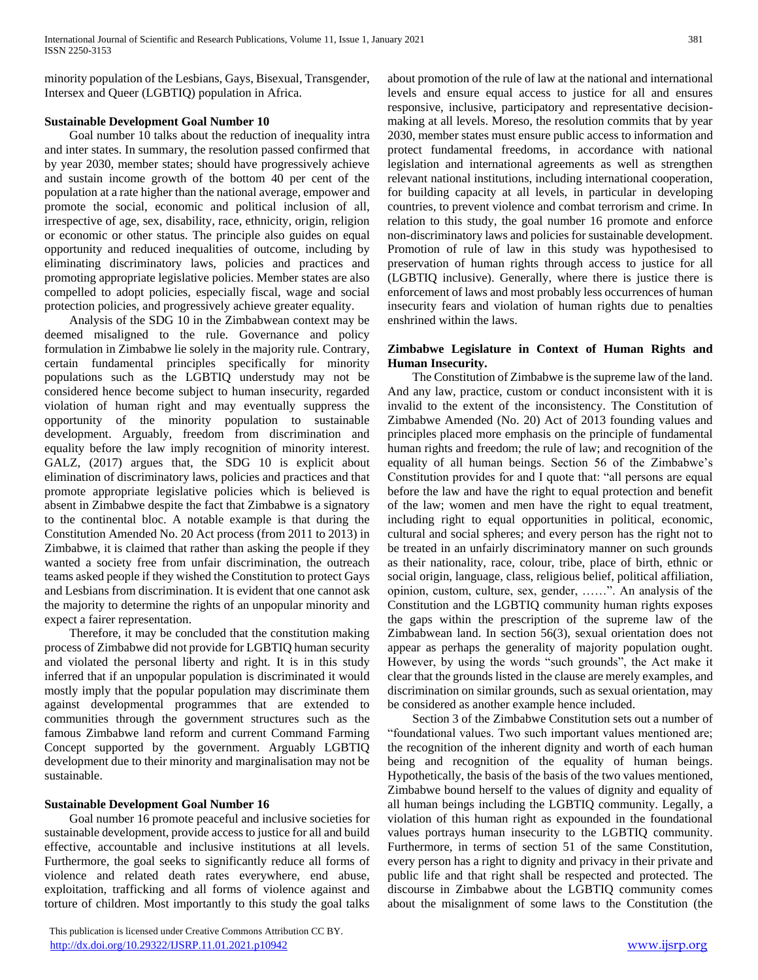minority population of the Lesbians, Gays, Bisexual, Transgender, Intersex and Queer (LGBTIQ) population in Africa.

## **Sustainable Development Goal Number 10**

 Goal number 10 talks about the reduction of inequality intra and inter states. In summary, the resolution passed confirmed that by year 2030, member states; should have progressively achieve and sustain income growth of the bottom 40 per cent of the population at a rate higher than the national average, empower and promote the social, economic and political inclusion of all, irrespective of age, sex, disability, race, ethnicity, origin, religion or economic or other status. The principle also guides on equal opportunity and reduced inequalities of outcome, including by eliminating discriminatory laws, policies and practices and promoting appropriate legislative policies. Member states are also compelled to adopt policies, especially fiscal, wage and social protection policies, and progressively achieve greater equality.

 Analysis of the SDG 10 in the Zimbabwean context may be deemed misaligned to the rule. Governance and policy formulation in Zimbabwe lie solely in the majority rule. Contrary, certain fundamental principles specifically for minority populations such as the LGBTIQ understudy may not be considered hence become subject to human insecurity, regarded violation of human right and may eventually suppress the opportunity of the minority population to sustainable development. Arguably, freedom from discrimination and equality before the law imply recognition of minority interest. GALZ, (2017) argues that, the SDG 10 is explicit about elimination of discriminatory laws, policies and practices and that promote appropriate legislative policies which is believed is absent in Zimbabwe despite the fact that Zimbabwe is a signatory to the continental bloc. A notable example is that during the Constitution Amended No. 20 Act process (from 2011 to 2013) in Zimbabwe, it is claimed that rather than asking the people if they wanted a society free from unfair discrimination, the outreach teams asked people if they wished the Constitution to protect Gays and Lesbians from discrimination. It is evident that one cannot ask the majority to determine the rights of an unpopular minority and expect a fairer representation.

 Therefore, it may be concluded that the constitution making process of Zimbabwe did not provide for LGBTIQ human security and violated the personal liberty and right. It is in this study inferred that if an unpopular population is discriminated it would mostly imply that the popular population may discriminate them against developmental programmes that are extended to communities through the government structures such as the famous Zimbabwe land reform and current Command Farming Concept supported by the government. Arguably LGBTIQ development due to their minority and marginalisation may not be sustainable.

## **Sustainable Development Goal Number 16**

 Goal number 16 promote peaceful and inclusive societies for sustainable development, provide access to justice for all and build effective, accountable and inclusive institutions at all levels. Furthermore, the goal seeks to significantly reduce all forms of violence and related death rates everywhere, end abuse, exploitation, trafficking and all forms of violence against and torture of children. Most importantly to this study the goal talks

 This publication is licensed under Creative Commons Attribution CC BY. <http://dx.doi.org/10.29322/IJSRP.11.01.2021.p10942> [www.ijsrp.org](http://ijsrp.org/)

about promotion of the rule of law at the national and international levels and ensure equal access to justice for all and ensures responsive, inclusive, participatory and representative decisionmaking at all levels. Moreso, the resolution commits that by year 2030, member states must ensure public access to information and protect fundamental freedoms, in accordance with national legislation and international agreements as well as strengthen relevant national institutions, including international cooperation, for building capacity at all levels, in particular in developing countries, to prevent violence and combat terrorism and crime. In relation to this study, the goal number 16 promote and enforce non-discriminatory laws and policies for sustainable development. Promotion of rule of law in this study was hypothesised to preservation of human rights through access to justice for all (LGBTIQ inclusive). Generally, where there is justice there is enforcement of laws and most probably less occurrences of human insecurity fears and violation of human rights due to penalties enshrined within the laws.

## **Zimbabwe Legislature in Context of Human Rights and Human Insecurity.**

 The Constitution of Zimbabwe is the supreme law of the land. And any law, practice, custom or conduct inconsistent with it is invalid to the extent of the inconsistency. The Constitution of Zimbabwe Amended (No. 20) Act of 2013 founding values and principles placed more emphasis on the principle of fundamental human rights and freedom; the rule of law; and recognition of the equality of all human beings. Section 56 of the Zimbabwe's Constitution provides for and I quote that: "all persons are equal before the law and have the right to equal protection and benefit of the law; women and men have the right to equal treatment, including right to equal opportunities in political, economic, cultural and social spheres; and every person has the right not to be treated in an unfairly discriminatory manner on such grounds as their nationality, race, colour, tribe, place of birth, ethnic or social origin, language, class, religious belief, political affiliation, opinion, custom, culture, sex, gender, ……". An analysis of the Constitution and the LGBTIQ community human rights exposes the gaps within the prescription of the supreme law of the Zimbabwean land. In section 56(3), sexual orientation does not appear as perhaps the generality of majority population ought. However, by using the words "such grounds", the Act make it clear that the grounds listed in the clause are merely examples, and discrimination on similar grounds, such as sexual orientation, may be considered as another example hence included.

 Section 3 of the Zimbabwe Constitution sets out a number of "foundational values. Two such important values mentioned are; the recognition of the inherent dignity and worth of each human being and recognition of the equality of human beings. Hypothetically, the basis of the basis of the two values mentioned, Zimbabwe bound herself to the values of dignity and equality of all human beings including the LGBTIQ community. Legally, a violation of this human right as expounded in the foundational values portrays human insecurity to the LGBTIQ community. Furthermore, in terms of section 51 of the same Constitution, every person has a right to dignity and privacy in their private and public life and that right shall be respected and protected. The discourse in Zimbabwe about the LGBTIQ community comes about the misalignment of some laws to the Constitution (the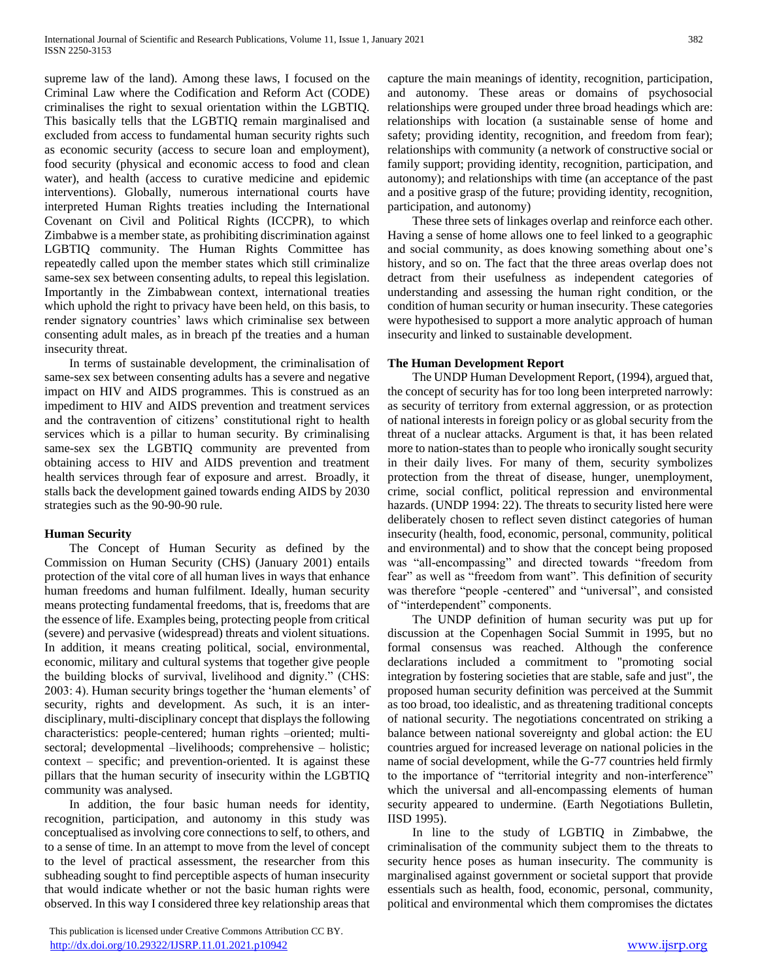supreme law of the land). Among these laws, I focused on the Criminal Law where the Codification and Reform Act (CODE) criminalises the right to sexual orientation within the LGBTIQ. This basically tells that the LGBTIQ remain marginalised and excluded from access to fundamental human security rights such as economic security (access to secure loan and employment), food security (physical and economic access to food and clean water), and health (access to curative medicine and epidemic interventions). Globally, numerous international courts have interpreted Human Rights treaties including the International Covenant on Civil and Political Rights (ICCPR), to which Zimbabwe is a member state, as prohibiting discrimination against LGBTIQ community. The Human Rights Committee has repeatedly called upon the member states which still criminalize same-sex sex between consenting adults, to repeal this legislation. Importantly in the Zimbabwean context, international treaties which uphold the right to privacy have been held, on this basis, to render signatory countries' laws which criminalise sex between consenting adult males, as in breach pf the treaties and a human insecurity threat.

 In terms of sustainable development, the criminalisation of same-sex sex between consenting adults has a severe and negative impact on HIV and AIDS programmes. This is construed as an impediment to HIV and AIDS prevention and treatment services and the contravention of citizens' constitutional right to health services which is a pillar to human security. By criminalising same-sex sex the LGBTIQ community are prevented from obtaining access to HIV and AIDS prevention and treatment health services through fear of exposure and arrest. Broadly, it stalls back the development gained towards ending AIDS by 2030 strategies such as the 90-90-90 rule.

#### **Human Security**

 The Concept of Human Security as defined by the Commission on Human Security (CHS) (January 2001) entails protection of the vital core of all human lives in ways that enhance human freedoms and human fulfilment. Ideally, human security means protecting fundamental freedoms, that is, freedoms that are the essence of life. Examples being, protecting people from critical (severe) and pervasive (widespread) threats and violent situations. In addition, it means creating political, social, environmental, economic, military and cultural systems that together give people the building blocks of survival, livelihood and dignity." (CHS: 2003: 4). Human security brings together the 'human elements' of security, rights and development. As such, it is an interdisciplinary, multi-disciplinary concept that displays the following characteristics: people-centered; human rights –oriented; multisectoral; developmental –livelihoods; comprehensive – holistic; context – specific; and prevention-oriented. It is against these pillars that the human security of insecurity within the LGBTIQ community was analysed.

 In addition, the four basic human needs for identity, recognition, participation, and autonomy in this study was conceptualised as involving core connections to self, to others, and to a sense of time. In an attempt to move from the level of concept to the level of practical assessment, the researcher from this subheading sought to find perceptible aspects of human insecurity that would indicate whether or not the basic human rights were observed. In this way I considered three key relationship areas that

 This publication is licensed under Creative Commons Attribution CC BY. <http://dx.doi.org/10.29322/IJSRP.11.01.2021.p10942> [www.ijsrp.org](http://ijsrp.org/)

capture the main meanings of identity, recognition, participation, and autonomy. These areas or domains of psychosocial relationships were grouped under three broad headings which are: relationships with location (a sustainable sense of home and safety; providing identity, recognition, and freedom from fear); relationships with community (a network of constructive social or family support; providing identity, recognition, participation, and autonomy); and relationships with time (an acceptance of the past and a positive grasp of the future; providing identity, recognition, participation, and autonomy)

 These three sets of linkages overlap and reinforce each other. Having a sense of home allows one to feel linked to a geographic and social community, as does knowing something about one's history, and so on. The fact that the three areas overlap does not detract from their usefulness as independent categories of understanding and assessing the human right condition, or the condition of human security or human insecurity. These categories were hypothesised to support a more analytic approach of human insecurity and linked to sustainable development.

## **The Human Development Report**

 The UNDP Human Development Report, (1994), argued that, the concept of security has for too long been interpreted narrowly: as security of territory from external aggression, or as protection of national interests in foreign policy or as global security from the threat of a nuclear attacks. Argument is that, it has been related more to nation-states than to people who ironically sought security in their daily lives. For many of them, security symbolizes protection from the threat of disease, hunger, unemployment, crime, social conflict, political repression and environmental hazards. (UNDP 1994: 22). The threats to security listed here were deliberately chosen to reflect seven distinct categories of human insecurity (health, food, economic, personal, community, political and environmental) and to show that the concept being proposed was "all-encompassing" and directed towards "freedom from fear" as well as "freedom from want". This definition of security was therefore "people -centered" and "universal", and consisted of "interdependent" components.

 The UNDP definition of human security was put up for discussion at the Copenhagen Social Summit in 1995, but no formal consensus was reached. Although the conference declarations included a commitment to "promoting social integration by fostering societies that are stable, safe and just", the proposed human security definition was perceived at the Summit as too broad, too idealistic, and as threatening traditional concepts of national security. The negotiations concentrated on striking a balance between national sovereignty and global action: the EU countries argued for increased leverage on national policies in the name of social development, while the G-77 countries held firmly to the importance of "territorial integrity and non-interference" which the universal and all-encompassing elements of human security appeared to undermine. (Earth Negotiations Bulletin, IISD 1995).

 In line to the study of LGBTIQ in Zimbabwe, the criminalisation of the community subject them to the threats to security hence poses as human insecurity. The community is marginalised against government or societal support that provide essentials such as health, food, economic, personal, community, political and environmental which them compromises the dictates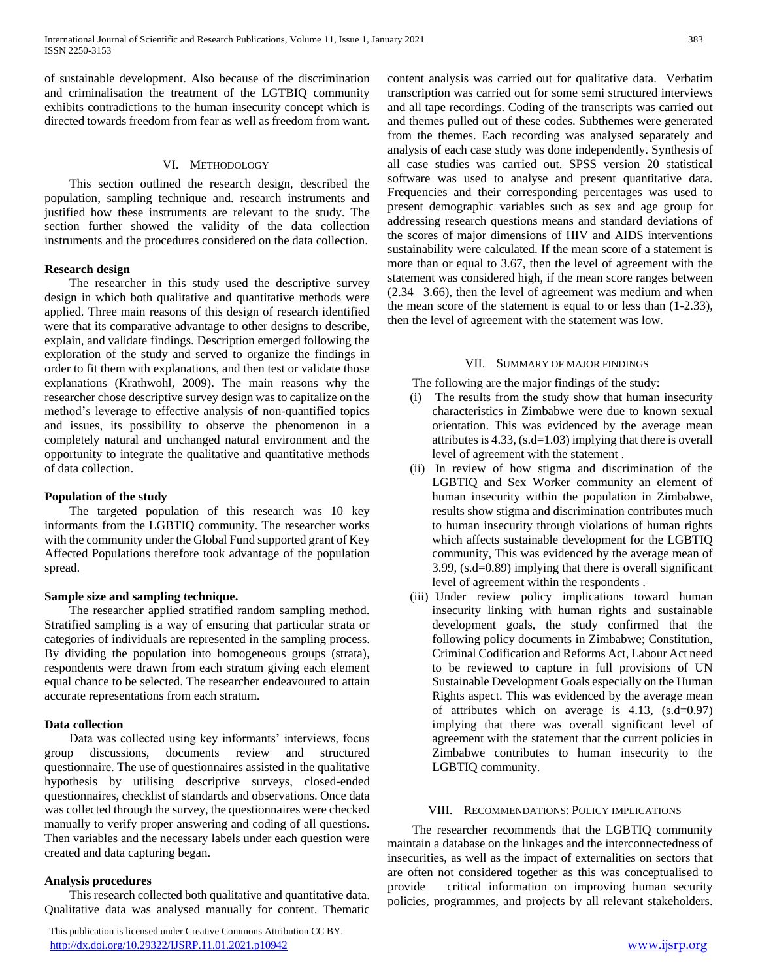of sustainable development. Also because of the discrimination and criminalisation the treatment of the LGTBIQ community exhibits contradictions to the human insecurity concept which is directed towards freedom from fear as well as freedom from want.

## VI. METHODOLOGY

 This section outlined the research design, described the population, sampling technique and. research instruments and justified how these instruments are relevant to the study. The section further showed the validity of the data collection instruments and the procedures considered on the data collection.

#### **Research design**

 The researcher in this study used the descriptive survey design in which both qualitative and quantitative methods were applied. Three main reasons of this design of research identified were that its comparative advantage to other designs to describe, explain, and validate findings. Description emerged following the exploration of the study and served to organize the findings in order to fit them with explanations, and then test or validate those explanations (Krathwohl, 2009). The main reasons why the researcher chose descriptive survey design was to capitalize on the method's leverage to effective analysis of non-quantified topics and issues, its possibility to observe the phenomenon in a completely natural and unchanged natural environment and the opportunity to integrate the qualitative and quantitative methods of data collection.

#### **Population of the study**

 The targeted population of this research was 10 key informants from the LGBTIQ community. The researcher works with the community under the Global Fund supported grant of Key Affected Populations therefore took advantage of the population spread.

#### **Sample size and sampling technique.**

 The researcher applied stratified random sampling method. Stratified sampling is a way of ensuring that particular strata or categories of individuals are represented in the sampling process. By dividing the population into homogeneous groups (strata), respondents were drawn from each stratum giving each element equal chance to be selected. The researcher endeavoured to attain accurate representations from each stratum.

#### **Data collection**

 Data was collected using key informants' interviews, focus group discussions, documents review and structured questionnaire. The use of questionnaires assisted in the qualitative hypothesis by utilising descriptive surveys, closed-ended questionnaires, checklist of standards and observations. Once data was collected through the survey, the questionnaires were checked manually to verify proper answering and coding of all questions. Then variables and the necessary labels under each question were created and data capturing began.

#### **Analysis procedures**

 This research collected both qualitative and quantitative data. Qualitative data was analysed manually for content. Thematic

 This publication is licensed under Creative Commons Attribution CC BY. <http://dx.doi.org/10.29322/IJSRP.11.01.2021.p10942> [www.ijsrp.org](http://ijsrp.org/)

content analysis was carried out for qualitative data. Verbatim transcription was carried out for some semi structured interviews and all tape recordings. Coding of the transcripts was carried out and themes pulled out of these codes. Subthemes were generated from the themes. Each recording was analysed separately and analysis of each case study was done independently. Synthesis of all case studies was carried out. SPSS version 20 statistical software was used to analyse and present quantitative data. Frequencies and their corresponding percentages was used to present demographic variables such as sex and age group for addressing research questions means and standard deviations of the scores of major dimensions of HIV and AIDS interventions sustainability were calculated. If the mean score of a statement is more than or equal to 3.67, then the level of agreement with the statement was considered high, if the mean score ranges between (2.34 –3.66), then the level of agreement was medium and when the mean score of the statement is equal to or less than (1-2.33), then the level of agreement with the statement was low.

#### VII. SUMMARY OF MAJOR FINDINGS

The following are the major findings of the study:

- (i) The results from the study show that human insecurity characteristics in Zimbabwe were due to known sexual orientation. This was evidenced by the average mean attributes is 4.33, (s.d=1.03) implying that there is overall level of agreement with the statement .
- (ii) In review of how stigma and discrimination of the LGBTIQ and Sex Worker community an element of human insecurity within the population in Zimbabwe, results show stigma and discrimination contributes much to human insecurity through violations of human rights which affects sustainable development for the LGBTIQ community, This was evidenced by the average mean of 3.99, (s.d=0.89) implying that there is overall significant level of agreement within the respondents .
- (iii) Under review policy implications toward human insecurity linking with human rights and sustainable development goals, the study confirmed that the following policy documents in Zimbabwe; Constitution, Criminal Codification and Reforms Act, Labour Act need to be reviewed to capture in full provisions of UN Sustainable Development Goals especially on the Human Rights aspect. This was evidenced by the average mean of attributes which on average is 4.13, (s.d=0.97) implying that there was overall significant level of agreement with the statement that the current policies in Zimbabwe contributes to human insecurity to the LGBTIQ community.

#### VIII. RECOMMENDATIONS: POLICY IMPLICATIONS

 The researcher recommends that the LGBTIQ community maintain a database on the linkages and the interconnectedness of insecurities, as well as the impact of externalities on sectors that are often not considered together as this was conceptualised to provide critical information on improving human security policies, programmes, and projects by all relevant stakeholders.